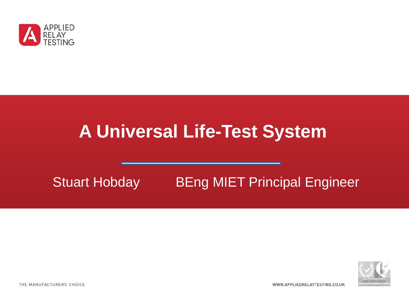

# **A Universal Life-Test System**

#### Stuart Hobday BEng MIET Principal Engineer



WWW.APPLIEDRELAYTESTING.CO.UK

THE MANUFACTURERS' CHOICE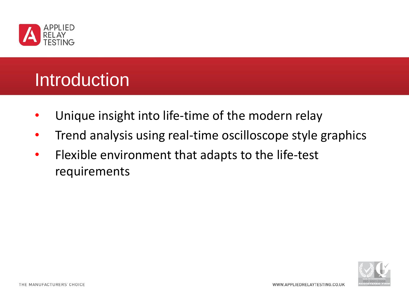

# Introduction

- Unique insight into life-time of the modern relay
- Trend analysis using real-time oscilloscope style graphics
- Flexible environment that adapts to the life-test requirements

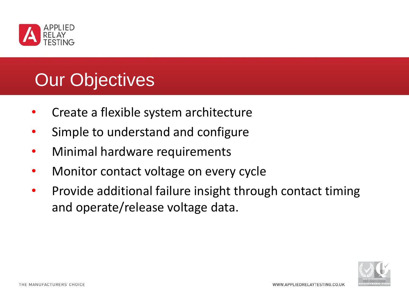

# Our Objectives

- Create a flexible system architecture
- Simple to understand and configure
- Minimal hardware requirements
- Monitor contact voltage on every cycle
- Provide additional failure insight through contact timing and operate/release voltage data.

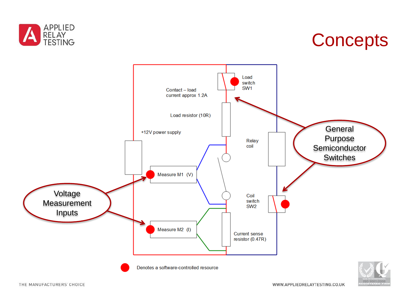

# **Concepts**

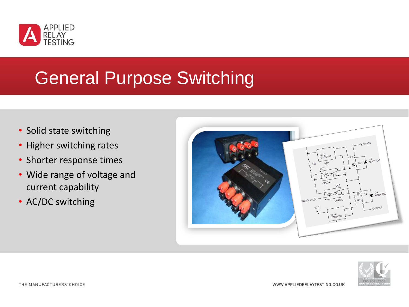

### General Purpose Switching

- Solid state switching
- Higher switching rates
- Shorter response times
- Wide range of voltage and current capability
- AC/DC switching



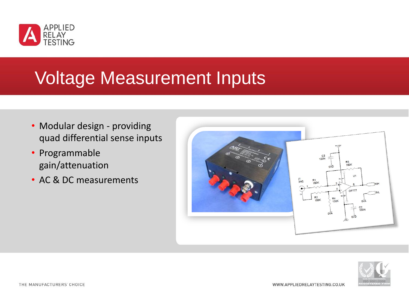

#### Voltage Measurement Inputs

- Modular design providing quad differential sense inputs
- Programmable gain/attenuation
- AC & DC measurements



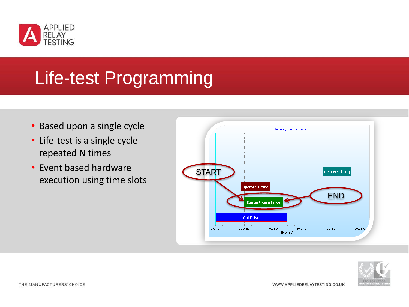

### Life-test Programming

- Based upon a single cycle
- Life-test is a single cycle repeated N times
- Event based hardware execution using time slots



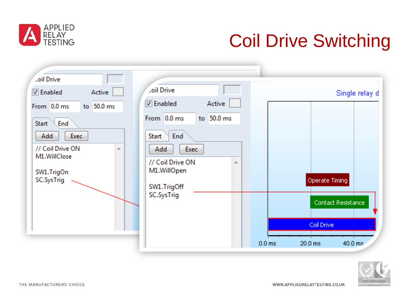

# Coil Drive Switching

| <b>Loil Drive</b><br><b>Loil Drive</b><br>Active<br><b>V</b> Enabled<br>Active<br><b>V</b> Enabled<br>From 0.0 ms<br>to 50.0 ms<br>From 0.0 ms<br>to $50.0$ ms<br>Start<br>End<br>Exec<br>End<br>Add<br><b>Start</b><br>// Coil Drive ON<br>Add<br>Exec<br>A.<br>M1.WillClose<br>// Coil Drive ON<br>À.<br>M1.WillOpen<br>SW1.TrigOn<br>SC.SysTrig<br>SW1.TrigOff<br>SC.SysTrig | Single relay d<br>Operate Timing<br>Contact Resistance<br>Coil Drive<br>$20.0 \text{ ms}$<br>0.0 <sub>ms</sub><br>$40.0 \text{ ms}$ |
|---------------------------------------------------------------------------------------------------------------------------------------------------------------------------------------------------------------------------------------------------------------------------------------------------------------------------------------------------------------------------------|-------------------------------------------------------------------------------------------------------------------------------------|
|---------------------------------------------------------------------------------------------------------------------------------------------------------------------------------------------------------------------------------------------------------------------------------------------------------------------------------------------------------------------------------|-------------------------------------------------------------------------------------------------------------------------------------|

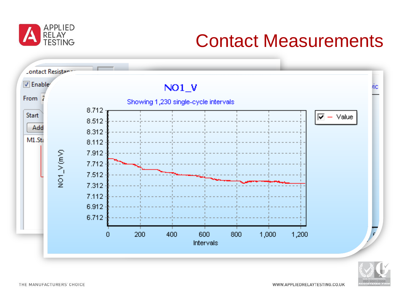

# Contact Measurements



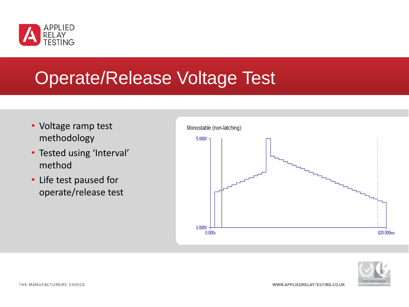

#### Operate/Release Voltage Test

- Voltage ramp test methodology
- Tested using 'Interval' method
- Life test paused for operate/release test



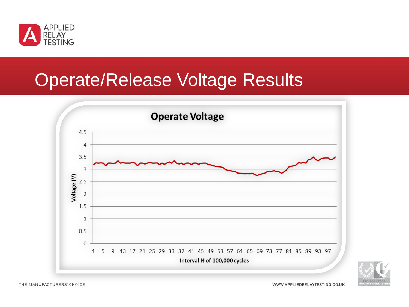

# Operate/Release Voltage Results



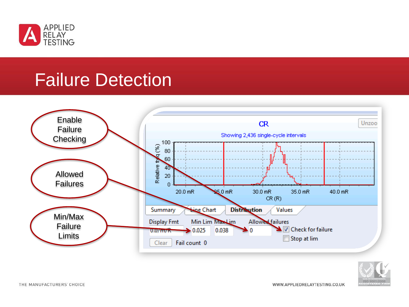

#### Failure Detection